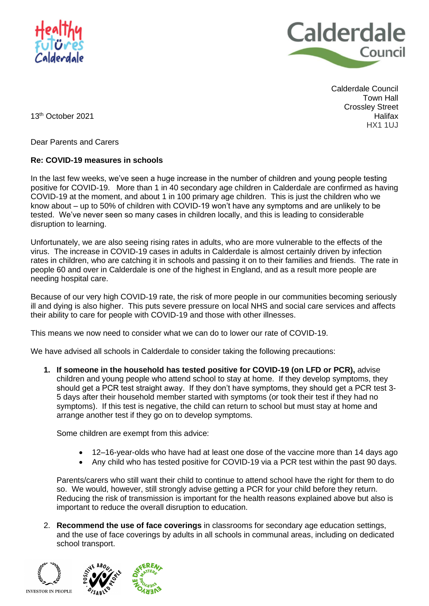



Calderdale Council Town Hall Crossley Street Halifax HX1 1UJ

13 th October 2021

Dear Parents and Carers

## **Re: COVID-19 measures in schools**

In the last few weeks, we've seen a huge increase in the number of children and young people testing positive for COVID-19. More than 1 in 40 secondary age children in Calderdale are confirmed as having COVID-19 at the moment, and about 1 in 100 primary age children. This is just the children who we know about – up to 50% of children with COVID-19 won't have any symptoms and are unlikely to be tested. We've never seen so many cases in children locally, and this is leading to considerable disruption to learning.

Unfortunately, we are also seeing rising rates in adults, who are more vulnerable to the effects of the virus. The increase in COVID-19 cases in adults in Calderdale is almost certainly driven by infection rates in children, who are catching it in schools and passing it on to their families and friends. The rate in people 60 and over in Calderdale is one of the highest in England, and as a result more people are needing hospital care.

Because of our very high COVID-19 rate, the risk of more people in our communities becoming seriously ill and dying is also higher. This puts severe pressure on local NHS and social care services and affects their ability to care for people with COVID-19 and those with other illnesses.

This means we now need to consider what we can do to lower our rate of COVID-19.

We have advised all schools in Calderdale to consider taking the following precautions:

**1. If someone in the household has tested positive for COVID-19 (on LFD or PCR),** advise children and young people who attend school to stay at home. If they develop symptoms, they should get a PCR test straight away. If they don't have symptoms, they should get a PCR test 3- 5 days after their household member started with symptoms (or took their test if they had no symptoms). If this test is negative, the child can return to school but must stay at home and arrange another test if they go on to develop symptoms.

Some children are exempt from this advice:

- 12–16-year-olds who have had at least one dose of the vaccine more than 14 days ago
- Any child who has tested positive for COVID-19 via a PCR test within the past 90 days.

Parents/carers who still want their child to continue to attend school have the right for them to do so. We would, however, still strongly advise getting a PCR for your child before they return. Reducing the risk of transmission is important for the health reasons explained above but also is important to reduce the overall disruption to education.

2. **Recommend the use of face coverings** in classrooms for secondary age education settings, and the use of face coverings by adults in all schools in communal areas, including on dedicated school transport.